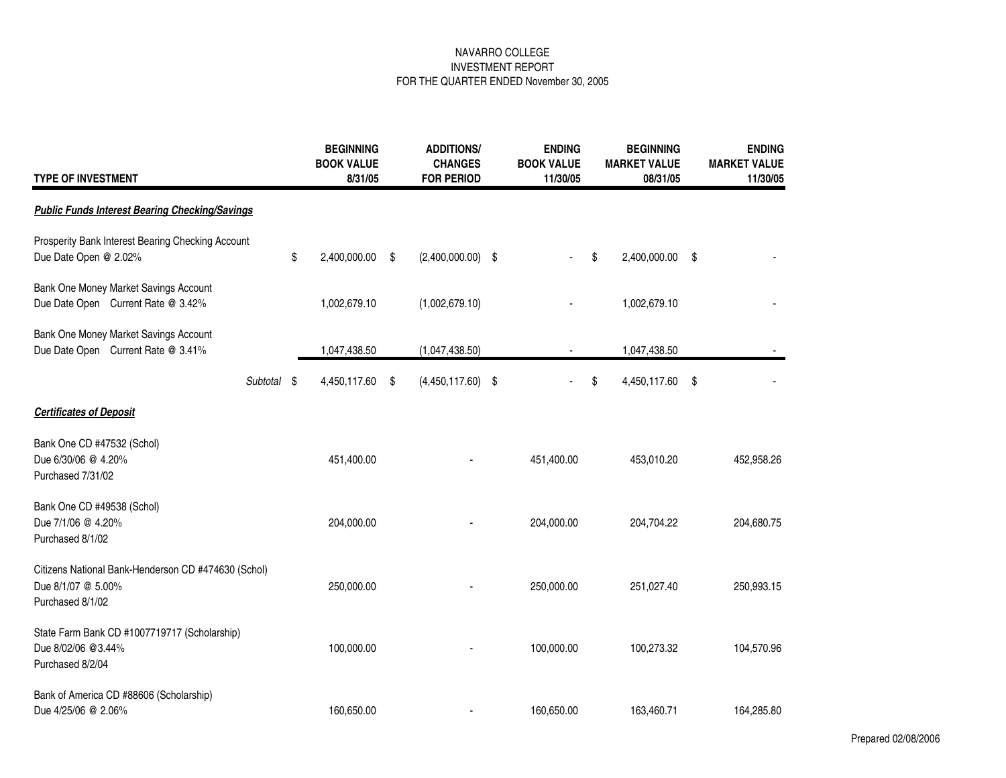| <b>TYPE OF INVESTMENT</b>                                                                     |      | <b>BEGINNING</b><br><b>BOOK VALUE</b><br>8/31/05 | <b>ADDITIONS/</b><br><b>CHANGES</b><br><b>FOR PERIOD</b> | <b>ENDING</b><br><b>BOOK VALUE</b><br>11/30/05 | <b>BEGINNING</b><br><b>MARKET VALUE</b><br>08/31/05 | <b>ENDING</b><br><b>MARKET VALUE</b><br>11/30/05 |
|-----------------------------------------------------------------------------------------------|------|--------------------------------------------------|----------------------------------------------------------|------------------------------------------------|-----------------------------------------------------|--------------------------------------------------|
| <b>Public Funds Interest Bearing Checking/Savings</b>                                         |      |                                                  |                                                          |                                                |                                                     |                                                  |
| Prosperity Bank Interest Bearing Checking Account<br>Due Date Open @ 2.02%                    | \$   | 2,400,000.00                                     | \$<br>$(2,400,000.00)$ \$                                |                                                | \$<br>2,400,000.00                                  | \$                                               |
| Bank One Money Market Savings Account<br>Due Date Open Current Rate @ 3.42%                   |      | 1,002,679.10                                     | (1,002,679.10)                                           |                                                | 1,002,679.10                                        |                                                  |
| Bank One Money Market Savings Account<br>Due Date Open Current Rate @ 3.41%                   |      | 1,047,438.50                                     | (1,047,438.50)                                           |                                                | 1,047,438.50                                        |                                                  |
| Subtotal                                                                                      | - \$ | 4,450,117.60                                     | \$<br>$(4,450,117.60)$ \$                                |                                                | \$<br>4,450,117.60                                  | \$                                               |
| <b>Certificates of Deposit</b>                                                                |      |                                                  |                                                          |                                                |                                                     |                                                  |
| Bank One CD #47532 (Schol)<br>Due 6/30/06 @ 4.20%<br>Purchased 7/31/02                        |      | 451,400.00                                       |                                                          | 451,400.00                                     | 453,010.20                                          | 452,958.26                                       |
| Bank One CD #49538 (Schol)<br>Due 7/1/06 @ 4.20%<br>Purchased 8/1/02                          |      | 204,000.00                                       |                                                          | 204,000.00                                     | 204,704.22                                          | 204,680.75                                       |
| Citizens National Bank-Henderson CD #474630 (Schol)<br>Due 8/1/07 @ 5.00%<br>Purchased 8/1/02 |      | 250,000.00                                       |                                                          | 250,000.00                                     | 251,027.40                                          | 250,993.15                                       |
| State Farm Bank CD #1007719717 (Scholarship)<br>Due 8/02/06 @3.44%<br>Purchased 8/2/04        |      | 100,000.00                                       |                                                          | 100,000.00                                     | 100,273.32                                          | 104,570.96                                       |
| Bank of America CD #88606 (Scholarship)<br>Due 4/25/06 @ 2.06%                                |      | 160,650.00                                       |                                                          | 160,650.00                                     | 163,460.71                                          | 164,285.80                                       |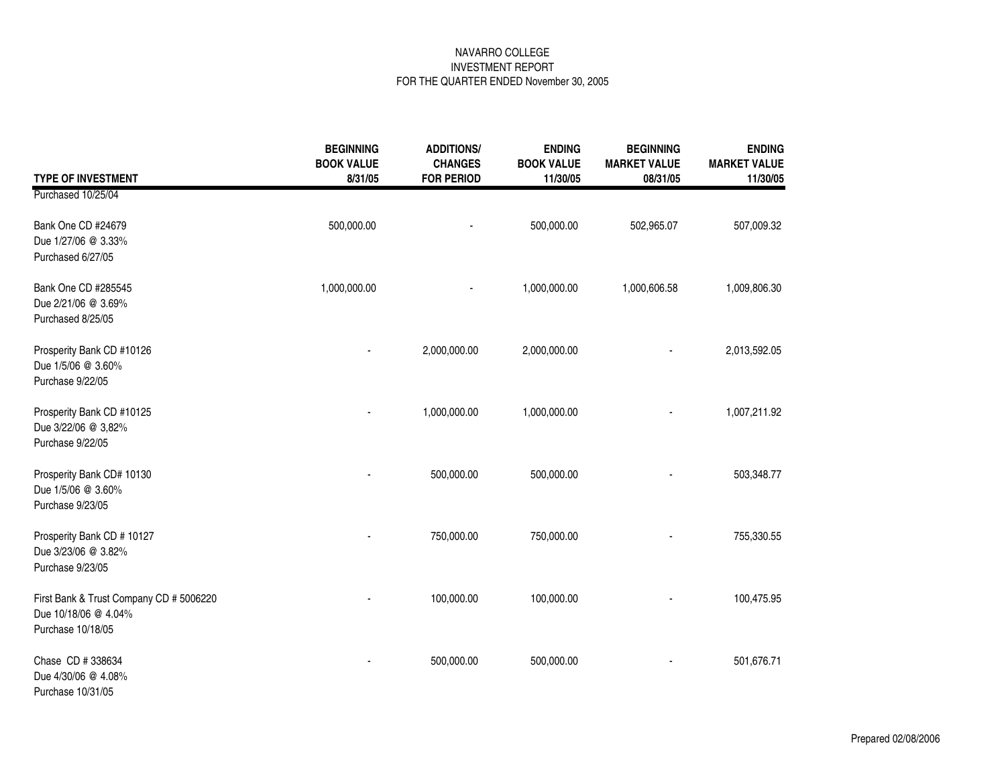|                                                                                      | <b>BEGINNING</b><br><b>BOOK VALUE</b> | <b>ADDITIONS/</b><br><b>CHANGES</b> | <b>ENDING</b><br><b>BOOK VALUE</b> | <b>BEGINNING</b><br><b>MARKET VALUE</b> | <b>ENDING</b><br><b>MARKET VALUE</b> |
|--------------------------------------------------------------------------------------|---------------------------------------|-------------------------------------|------------------------------------|-----------------------------------------|--------------------------------------|
| <b>TYPE OF INVESTMENT</b>                                                            | 8/31/05                               | <b>FOR PERIOD</b>                   | 11/30/05                           | 08/31/05                                | 11/30/05                             |
| Purchased 10/25/04                                                                   |                                       |                                     |                                    |                                         |                                      |
| Bank One CD #24679<br>Due 1/27/06 @ 3.33%<br>Purchased 6/27/05                       | 500,000.00                            |                                     | 500,000.00                         | 502,965.07                              | 507,009.32                           |
| Bank One CD #285545<br>Due 2/21/06 @ 3.69%<br>Purchased 8/25/05                      | 1,000,000.00                          |                                     | 1,000,000.00                       | 1,000,606.58                            | 1,009,806.30                         |
| Prosperity Bank CD #10126<br>Due 1/5/06 @ 3.60%<br>Purchase 9/22/05                  |                                       | 2,000,000.00                        | 2,000,000.00                       |                                         | 2,013,592.05                         |
| Prosperity Bank CD #10125<br>Due 3/22/06 @ 3,82%<br>Purchase 9/22/05                 |                                       | 1,000,000.00                        | 1,000,000.00                       |                                         | 1,007,211.92                         |
| Prosperity Bank CD# 10130<br>Due 1/5/06 @ 3.60%<br>Purchase 9/23/05                  |                                       | 500,000.00                          | 500,000.00                         |                                         | 503,348.77                           |
| Prosperity Bank CD # 10127<br>Due 3/23/06 @ 3.82%<br>Purchase 9/23/05                |                                       | 750,000.00                          | 750,000.00                         |                                         | 755,330.55                           |
| First Bank & Trust Company CD # 5006220<br>Due 10/18/06 @ 4.04%<br>Purchase 10/18/05 |                                       | 100,000.00                          | 100,000.00                         |                                         | 100,475.95                           |
| Chase CD # 338634<br>Due 4/30/06 @ 4.08%<br>Purchase 10/31/05                        |                                       | 500,000.00                          | 500,000.00                         |                                         | 501,676.71                           |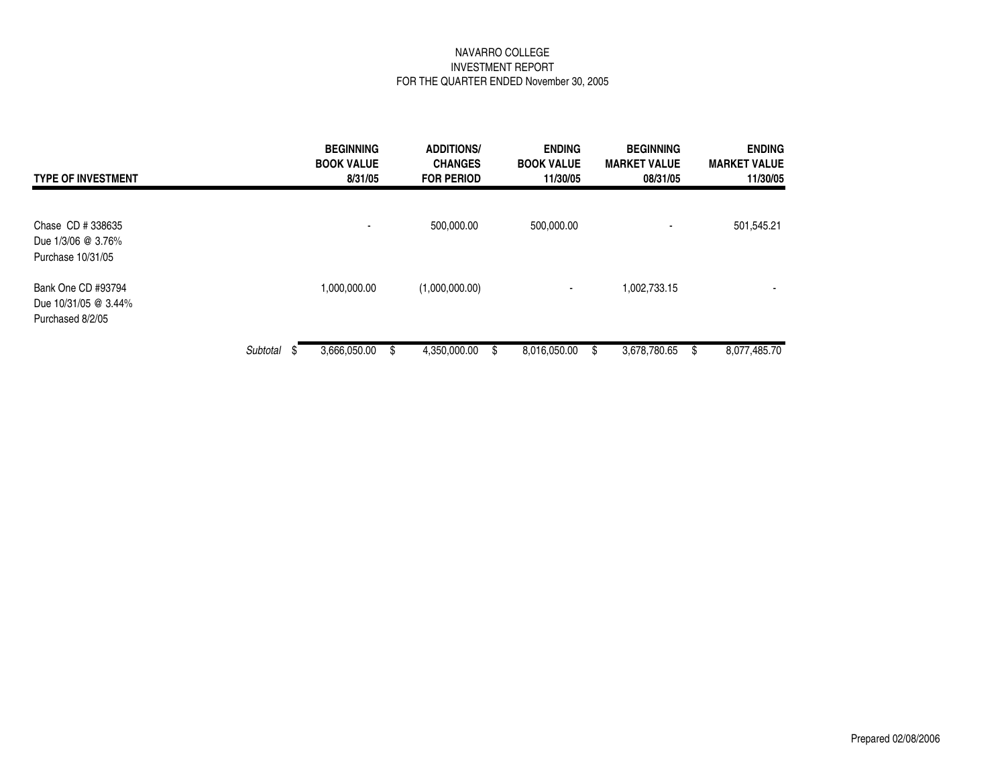| <b>TYPE OF INVESTMENT</b>                                      |          | <b>BEGINNING</b><br><b>BOOK VALUE</b><br>8/31/05 | <b>ADDITIONS/</b><br><b>CHANGES</b><br><b>FOR PERIOD</b> | <b>ENDING</b><br><b>BOOK VALUE</b><br>11/30/05 | <b>BEGINNING</b><br><b>MARKET VALUE</b><br>08/31/05 | <b>ENDING</b><br><b>MARKET VALUE</b><br>11/30/05 |
|----------------------------------------------------------------|----------|--------------------------------------------------|----------------------------------------------------------|------------------------------------------------|-----------------------------------------------------|--------------------------------------------------|
| Chase CD # 338635<br>Due 1/3/06 @ 3.76%<br>Purchase 10/31/05   |          |                                                  | 500,000.00                                               | 500,000.00                                     |                                                     | 501,545.21                                       |
| Bank One CD #93794<br>Due 10/31/05 @ 3.44%<br>Purchased 8/2/05 |          | 1,000,000.00                                     | (1,000,000.00)                                           | ۰                                              | 1,002,733.15                                        | $\,$                                             |
|                                                                | Subtotal | 3,666,050.00                                     | 4,350,000.00                                             | 8,016,050.00                                   | 3,678,780.65<br>S                                   | 8,077,485.70                                     |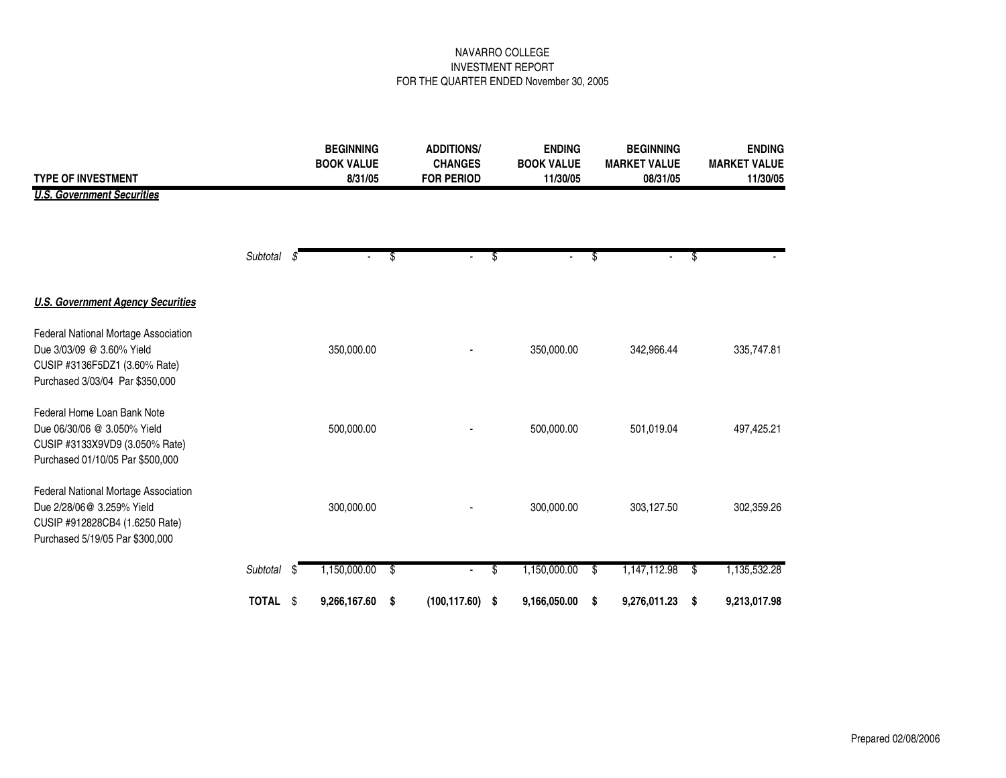| <b>TYPE OF INVESTMENT</b>                                                                                                              |          |      | <b>BEGINNING</b><br><b>BOOK VALUE</b><br>8/31/05 | <b>ADDITIONS/</b><br><b>CHANGES</b><br><b>FOR PERIOD</b> | <b>ENDING</b><br><b>BOOK VALUE</b> |    | <b>BEGINNING</b><br><b>MARKET VALUE</b> |                 | <b>ENDING</b><br><b>MARKET VALUE</b> |
|----------------------------------------------------------------------------------------------------------------------------------------|----------|------|--------------------------------------------------|----------------------------------------------------------|------------------------------------|----|-----------------------------------------|-----------------|--------------------------------------|
| <b>U.S. Government Securities</b>                                                                                                      |          |      |                                                  |                                                          | 11/30/05                           |    | 08/31/05                                |                 | 11/30/05                             |
|                                                                                                                                        | Subtotal | -35  |                                                  | \$<br>$\sim$                                             | \$                                 | \$ | $\blacksquare$                          | \$              |                                      |
|                                                                                                                                        |          |      |                                                  |                                                          |                                    |    |                                         |                 |                                      |
| <b>U.S. Government Agency Securities</b>                                                                                               |          |      |                                                  |                                                          |                                    |    |                                         |                 |                                      |
| Federal National Mortage Association<br>Due 3/03/09 @ 3.60% Yield<br>CUSIP #3136F5DZ1 (3.60% Rate)<br>Purchased 3/03/04 Par \$350,000  |          |      | 350,000.00                                       |                                                          | 350,000.00                         |    | 342,966.44                              |                 | 335,747.81                           |
| Federal Home Loan Bank Note<br>Due 06/30/06 @ 3.050% Yield<br>CUSIP #3133X9VD9 (3.050% Rate)<br>Purchased 01/10/05 Par \$500,000       |          |      | 500,000.00                                       |                                                          | 500,000.00                         |    | 501,019.04                              |                 | 497,425.21                           |
| Federal National Mortage Association<br>Due 2/28/06@ 3.259% Yield<br>CUSIP #912828CB4 (1.6250 Rate)<br>Purchased 5/19/05 Par \$300,000 |          |      | 300,000.00                                       |                                                          | 300,000.00                         |    | 303,127.50                              |                 | 302,359.26                           |
|                                                                                                                                        | Subtotal | - \$ | 1,150,000.00                                     | \$                                                       | \$<br>1,150,000.00                 | \$ | 1,147,112.98                            | $\overline{\$}$ | 1,135,532.28                         |
|                                                                                                                                        | TOTAL \$ |      | 9,266,167.60                                     | \$<br>$(100, 117.60)$ \$                                 | 9,166,050.00                       | S  | 9,276,011.23                            | \$              | 9,213,017.98                         |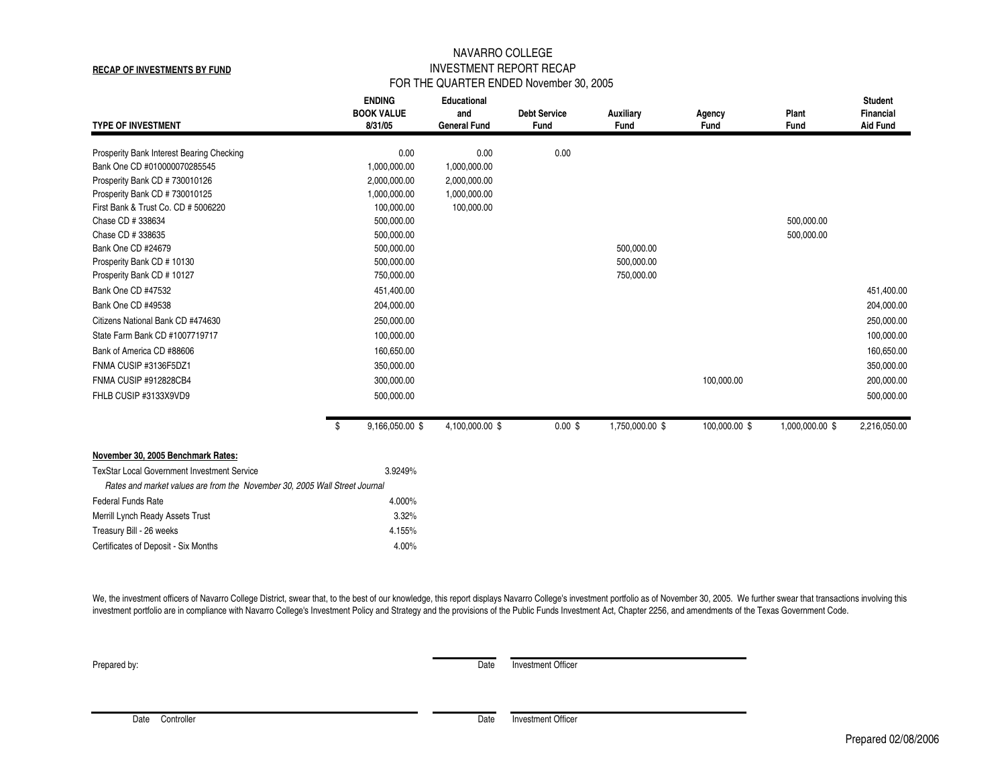**RECAP OF INVESTMENTS BY FUND**

# NAVARRO COLLEGE INVESTMENT REPORT RECAP FOR THE QUARTER ENDED November 30, 2005

| <b>TYPE OF INVESTMENT</b>                                                  | <b>ENDING</b><br><b>BOOK VALUE</b><br>8/31/05 | Educational<br>and<br><b>General Fund</b> | <b>Debt Service</b><br>Fund | <b>Auxiliary</b><br>Fund | Agency<br>Fund | Plant<br>Fund   | <b>Student</b><br><b>Financial</b><br><b>Aid Fund</b> |
|----------------------------------------------------------------------------|-----------------------------------------------|-------------------------------------------|-----------------------------|--------------------------|----------------|-----------------|-------------------------------------------------------|
| Prosperity Bank Interest Bearing Checking                                  | 0.00                                          | 0.00                                      | 0.00                        |                          |                |                 |                                                       |
| Bank One CD #010000070285545                                               | 1,000,000.00                                  | 1,000,000.00                              |                             |                          |                |                 |                                                       |
| Prosperity Bank CD # 730010126                                             | 2,000,000.00                                  | 2,000,000.00                              |                             |                          |                |                 |                                                       |
| Prosperity Bank CD # 730010125                                             | 1,000,000.00                                  | 1,000,000.00                              |                             |                          |                |                 |                                                       |
| First Bank & Trust Co. CD # 5006220                                        | 100,000.00                                    | 100,000.00                                |                             |                          |                |                 |                                                       |
| Chase CD # 338634                                                          | 500,000.00                                    |                                           |                             |                          |                | 500,000.00      |                                                       |
| Chase CD # 338635                                                          | 500,000.00                                    |                                           |                             |                          |                | 500,000.00      |                                                       |
| Bank One CD #24679                                                         | 500,000.00                                    |                                           |                             | 500,000.00               |                |                 |                                                       |
| Prosperity Bank CD # 10130                                                 | 500,000.00                                    |                                           |                             | 500,000.00               |                |                 |                                                       |
| Prosperity Bank CD # 10127<br>Bank One CD #47532                           | 750,000.00                                    |                                           |                             | 750,000.00               |                |                 |                                                       |
|                                                                            | 451,400.00                                    |                                           |                             |                          |                |                 | 451,400.00                                            |
| Bank One CD #49538                                                         | 204,000.00                                    |                                           |                             |                          |                |                 | 204,000.00                                            |
| Citizens National Bank CD #474630                                          | 250,000.00                                    |                                           |                             |                          |                |                 | 250,000.00                                            |
| State Farm Bank CD #1007719717                                             | 100,000.00                                    |                                           |                             |                          |                |                 | 100,000.00                                            |
| Bank of America CD #88606                                                  | 160,650.00                                    |                                           |                             |                          |                |                 | 160,650.00                                            |
| FNMA CUSIP #3136F5DZ1                                                      | 350,000.00                                    |                                           |                             |                          |                |                 | 350,000.00                                            |
| FNMA CUSIP #912828CB4                                                      | 300,000.00                                    |                                           |                             |                          | 100,000.00     |                 | 200,000.00                                            |
| FHLB CUSIP #3133X9VD9                                                      | 500,000.00                                    |                                           |                             |                          |                |                 | 500,000.00                                            |
|                                                                            | \$<br>9,166,050.00 \$                         | 4,100,000.00 \$                           | $0.00$ \$                   | 1,750,000.00 \$          | 100,000.00 \$  | 1,000,000.00 \$ | 2,216,050.00                                          |
| November 30, 2005 Benchmark Rates:                                         |                                               |                                           |                             |                          |                |                 |                                                       |
| <b>TexStar Local Government Investment Service</b>                         | 3.9249%                                       |                                           |                             |                          |                |                 |                                                       |
| Rates and market values are from the November 30, 2005 Wall Street Journal |                                               |                                           |                             |                          |                |                 |                                                       |
| <b>Federal Funds Rate</b>                                                  | 4.000%                                        |                                           |                             |                          |                |                 |                                                       |
| Merrill Lynch Ready Assets Trust                                           | 3.32%                                         |                                           |                             |                          |                |                 |                                                       |
| Treasury Bill - 26 weeks                                                   | 4.155%                                        |                                           |                             |                          |                |                 |                                                       |
| Certificates of Deposit - Six Months                                       | 4.00%                                         |                                           |                             |                          |                |                 |                                                       |

We, the investment officers of Navarro College District, swear that, to the best of our knowledge, this report displays Navarro College's investment portfolio as of November 30, 2005. We further swear that transactions inv investment portfolio are in compliance with Navarro College's Investment Policy and Strategy and the provisions of the Public Funds Investment Act, Chapter 2256, and amendments of the Texas Government Code.

**Prepared by:** Date Investment Officer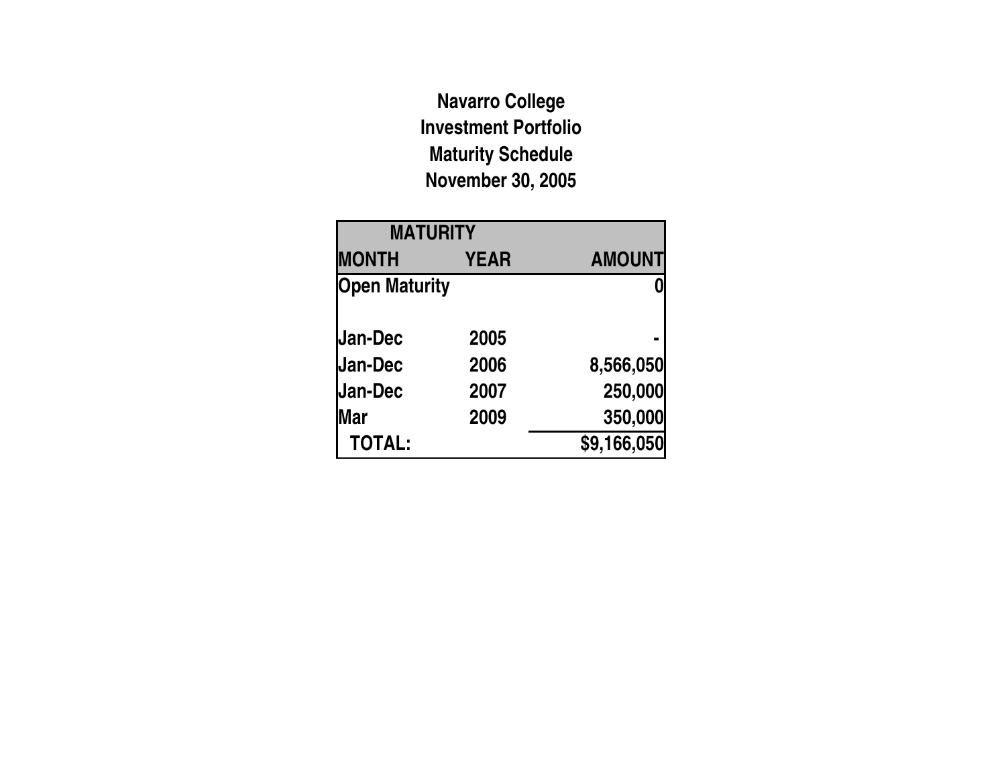**Navarro College Investment Portfolio Maturity Schedule November 30, 2005**

| <b>MATURITY</b>      |             |               |
|----------------------|-------------|---------------|
| <b>MONTH</b>         | <b>YEAR</b> | <b>AMOUNT</b> |
| <b>Open Maturity</b> |             |               |
| Jan-Dec              | 2005        |               |
| <b>Jan-Dec</b>       | 2006        | 8,566,050     |
| <b>Jan-Dec</b>       | 2007        | 250,000       |
| lMar                 | 2009        | 350,000       |
| <b>TOTAL:</b>        |             | \$9,166,050   |